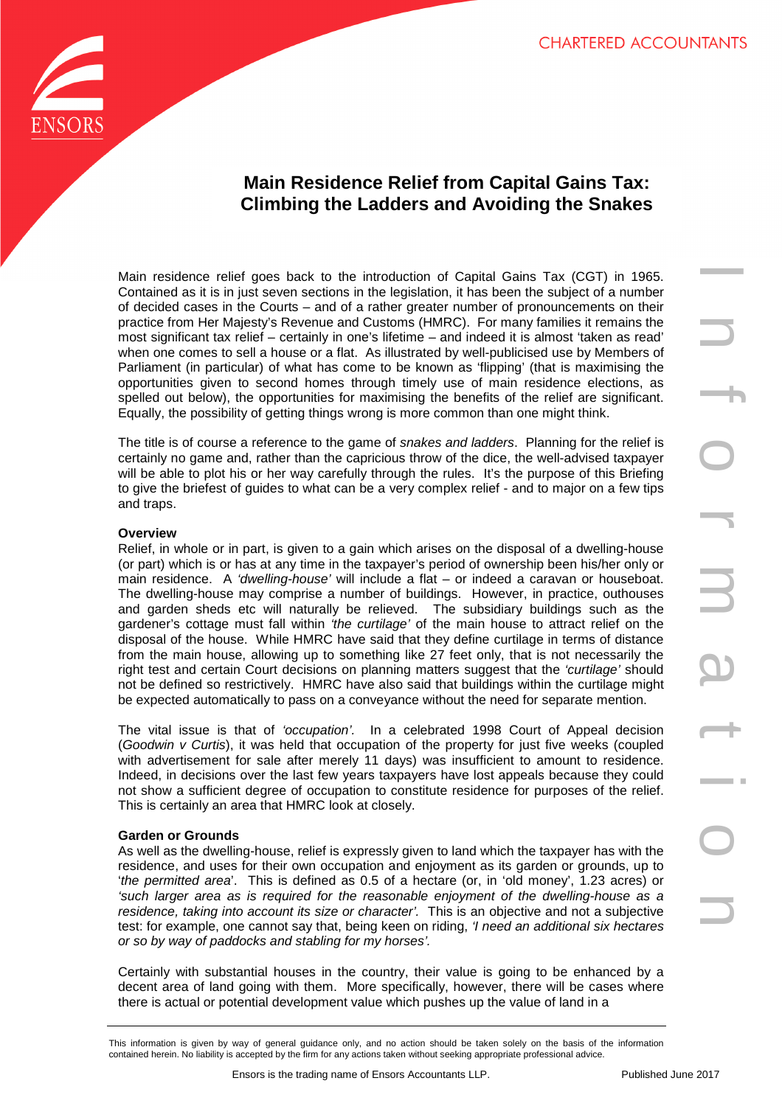

# **Main Residence Relief from Capital Gains Tax: Climbing the Ladders and Avoiding the Snakes**

Main residence relief goes back to the introduction of Capital Gains Tax (CGT) in 1965. Contained as it is in just seven sections in the legislation, it has been the subject of a number of decided cases in the Courts – and of a rather greater number of pronouncements on their practice from Her Majesty's Revenue and Customs (HMRC). For many families it remains the most significant tax relief – certainly in one's lifetime – and indeed it is almost 'taken as read' when one comes to sell a house or a flat. As illustrated by well-publicised use by Members of Parliament (in particular) of what has come to be known as 'flipping' (that is maximising the opportunities given to second homes through timely use of main residence elections, as spelled out below), the opportunities for maximising the benefits of the relief are significant. Equally, the possibility of getting things wrong is more common than one might think.

The title is of course a reference to the game of snakes and ladders. Planning for the relief is certainly no game and, rather than the capricious throw of the dice, the well-advised taxpayer will be able to plot his or her way carefully through the rules. It's the purpose of this Briefing to give the briefest of guides to what can be a very complex relief - and to major on a few tips and traps.

# **Overview**

For goods is the introduction of Capital Gains Tax, (GGT) in 1965.<br>In the trading name of protonomenation in the present term of the protonomenation in their spectra accounts and the accountants of the results at a non-ter Relief, in whole or in part, is given to a gain which arises on the disposal of a dwelling-house (or part) which is or has at any time in the taxpayer's period of ownership been his/her only or main residence. A 'dwelling-house' will include a flat – or indeed a caravan or houseboat. The dwelling-house may comprise a number of buildings. However, in practice, outhouses and garden sheds etc will naturally be relieved. The subsidiary buildings such as the gardener's cottage must fall within 'the curtilage' of the main house to attract relief on the disposal of the house. While HMRC have said that they define curtilage in terms of distance from the main house, allowing up to something like 27 feet only, that is not necessarily the right test and certain Court decisions on planning matters suggest that the 'curtilage' should not be defined so restrictively. HMRC have also said that buildings within the curtilage might be expected automatically to pass on a conveyance without the need for separate mention.

The vital issue is that of 'occupation'. In a celebrated 1998 Court of Appeal decision (Goodwin v Curtis), it was held that occupation of the property for just five weeks (coupled with advertisement for sale after merely 11 days) was insufficient to amount to residence. Indeed, in decisions over the last few years taxpayers have lost appeals because they could not show a sufficient degree of occupation to constitute residence for purposes of the relief. This is certainly an area that HMRC look at closely.

# **Garden or Grounds**

As well as the dwelling-house, relief is expressly given to land which the taxpayer has with the residence, and uses for their own occupation and enjoyment as its garden or grounds, up to 'the permitted area'. This is defined as 0.5 of a hectare (or, in 'old money', 1.23 acres) or 'such larger area as is required for the reasonable enjoyment of the dwelling-house as a residence, taking into account its size or character'. This is an objective and not a subjective test: for example, one cannot say that, being keen on riding, 'I need an additional six hectares or so by way of paddocks and stabling for my horses'.

Certainly with substantial houses in the country, their value is going to be enhanced by a decent area of land going with them. More specifically, however, there will be cases where there is actual or potential development value which pushes up the value of land in a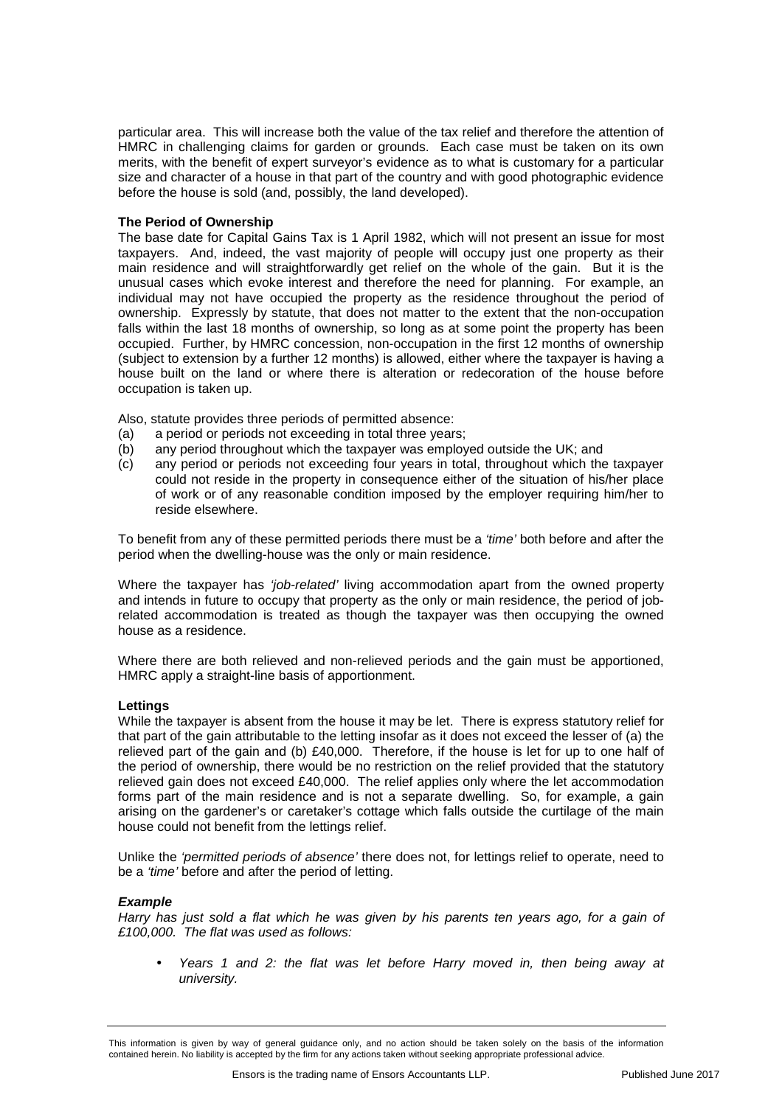particular area. This will increase both the value of the tax relief and therefore the attention of HMRC in challenging claims for garden or grounds. Each case must be taken on its own merits, with the benefit of expert surveyor's evidence as to what is customary for a particular size and character of a house in that part of the country and with good photographic evidence before the house is sold (and, possibly, the land developed).

## **The Period of Ownership**

The base date for Capital Gains Tax is 1 April 1982, which will not present an issue for most taxpayers. And, indeed, the vast majority of people will occupy just one property as their main residence and will straightforwardly get relief on the whole of the gain. But it is the unusual cases which evoke interest and therefore the need for planning. For example, an individual may not have occupied the property as the residence throughout the period of ownership. Expressly by statute, that does not matter to the extent that the non-occupation falls within the last 18 months of ownership, so long as at some point the property has been occupied. Further, by HMRC concession, non-occupation in the first 12 months of ownership (subject to extension by a further 12 months) is allowed, either where the taxpayer is having a house built on the land or where there is alteration or redecoration of the house before occupation is taken up.

Also, statute provides three periods of permitted absence:

- (a) a period or periods not exceeding in total three years;
- (b) any period throughout which the taxpayer was employed outside the UK; and
- (c) any period or periods not exceeding four years in total, throughout which the taxpayer could not reside in the property in consequence either of the situation of his/her place of work or of any reasonable condition imposed by the employer requiring him/her to reside elsewhere.

To benefit from any of these permitted periods there must be a 'time' both before and after the period when the dwelling-house was the only or main residence.

Where the taxpayer has 'job-related' living accommodation apart from the owned property and intends in future to occupy that property as the only or main residence, the period of jobrelated accommodation is treated as though the taxpayer was then occupying the owned house as a residence.

Where there are both relieved and non-relieved periods and the gain must be apportioned, HMRC apply a straight-line basis of apportionment.

## **Lettings**

While the taxpayer is absent from the house it may be let. There is express statutory relief for that part of the gain attributable to the letting insofar as it does not exceed the lesser of (a) the relieved part of the gain and (b) £40,000. Therefore, if the house is let for up to one half of the period of ownership, there would be no restriction on the relief provided that the statutory relieved gain does not exceed £40,000. The relief applies only where the let accommodation forms part of the main residence and is not a separate dwelling. So, for example, a gain arising on the gardener's or caretaker's cottage which falls outside the curtilage of the main house could not benefit from the lettings relief.

Unlike the 'permitted periods of absence' there does not, for lettings relief to operate, need to be a 'time' before and after the period of letting.

#### **Example**

Harry has just sold a flat which he was given by his parents ten years ago, for a gain of £100,000. The flat was used as follows:

• Years 1 and 2: the flat was let before Harry moved in, then being away at university.

This information is given by way of general guidance only, and no action should be taken solely on the basis of the information contained herein. No liability is accepted by the firm for any actions taken without seeking appropriate professional advice.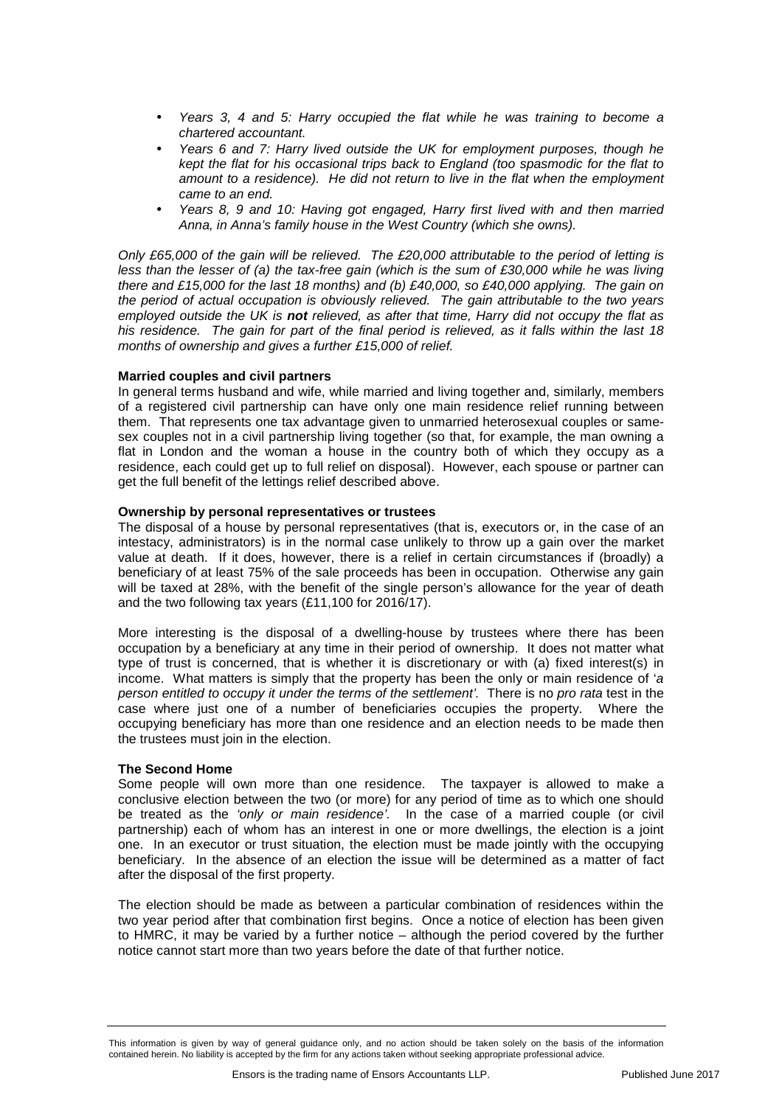- Years 3, 4 and 5: Harry occupied the flat while he was training to become a chartered accountant.
- Years 6 and 7: Harry lived outside the UK for employment purposes, though he kept the flat for his occasional trips back to England (too spasmodic for the flat to amount to a residence). He did not return to live in the flat when the employment came to an end.
- Years 8, 9 and 10: Having got engaged, Harry first lived with and then married Anna, in Anna's family house in the West Country (which she owns).

Only £65,000 of the gain will be relieved. The £20,000 attributable to the period of letting is less than the lesser of (a) the tax-free gain (which is the sum of £30,000 while he was living there and £15,000 for the last 18 months) and (b) £40,000, so £40,000 applying. The gain on the period of actual occupation is obviously relieved. The gain attributable to the two years employed outside the UK is **not** relieved, as after that time, Harry did not occupy the flat as his residence. The gain for part of the final period is relieved, as it falls within the last 18 months of ownership and gives a further £15,000 of relief.

## **Married couples and civil partners**

In general terms husband and wife, while married and living together and, similarly, members of a registered civil partnership can have only one main residence relief running between them. That represents one tax advantage given to unmarried heterosexual couples or samesex couples not in a civil partnership living together (so that, for example, the man owning a flat in London and the woman a house in the country both of which they occupy as a residence, each could get up to full relief on disposal). However, each spouse or partner can get the full benefit of the lettings relief described above.

## **Ownership by personal representatives or trustees**

The disposal of a house by personal representatives (that is, executors or, in the case of an intestacy, administrators) is in the normal case unlikely to throw up a gain over the market value at death. If it does, however, there is a relief in certain circumstances if (broadly) a beneficiary of at least 75% of the sale proceeds has been in occupation. Otherwise any gain will be taxed at 28%, with the benefit of the single person's allowance for the year of death and the two following tax years (£11,100 for 2016/17).

More interesting is the disposal of a dwelling-house by trustees where there has been occupation by a beneficiary at any time in their period of ownership. It does not matter what type of trust is concerned, that is whether it is discretionary or with (a) fixed interest(s) in income. What matters is simply that the property has been the only or main residence of 'a person entitled to occupy it under the terms of the settlement'. There is no pro rata test in the case where just one of a number of beneficiaries occupies the property. Where the occupying beneficiary has more than one residence and an election needs to be made then the trustees must join in the election.

## **The Second Home**

Some people will own more than one residence. The taxpayer is allowed to make a conclusive election between the two (or more) for any period of time as to which one should be treated as the 'only or main residence'. In the case of a married couple (or civil partnership) each of whom has an interest in one or more dwellings, the election is a joint one. In an executor or trust situation, the election must be made jointly with the occupying beneficiary. In the absence of an election the issue will be determined as a matter of fact after the disposal of the first property.

The election should be made as between a particular combination of residences within the two year period after that combination first begins. Once a notice of election has been given to HMRC, it may be varied by a further notice – although the period covered by the further notice cannot start more than two years before the date of that further notice.

This information is given by way of general guidance only, and no action should be taken solely on the basis of the information contained herein. No liability is accepted by the firm for any actions taken without seeking appropriate professional advice.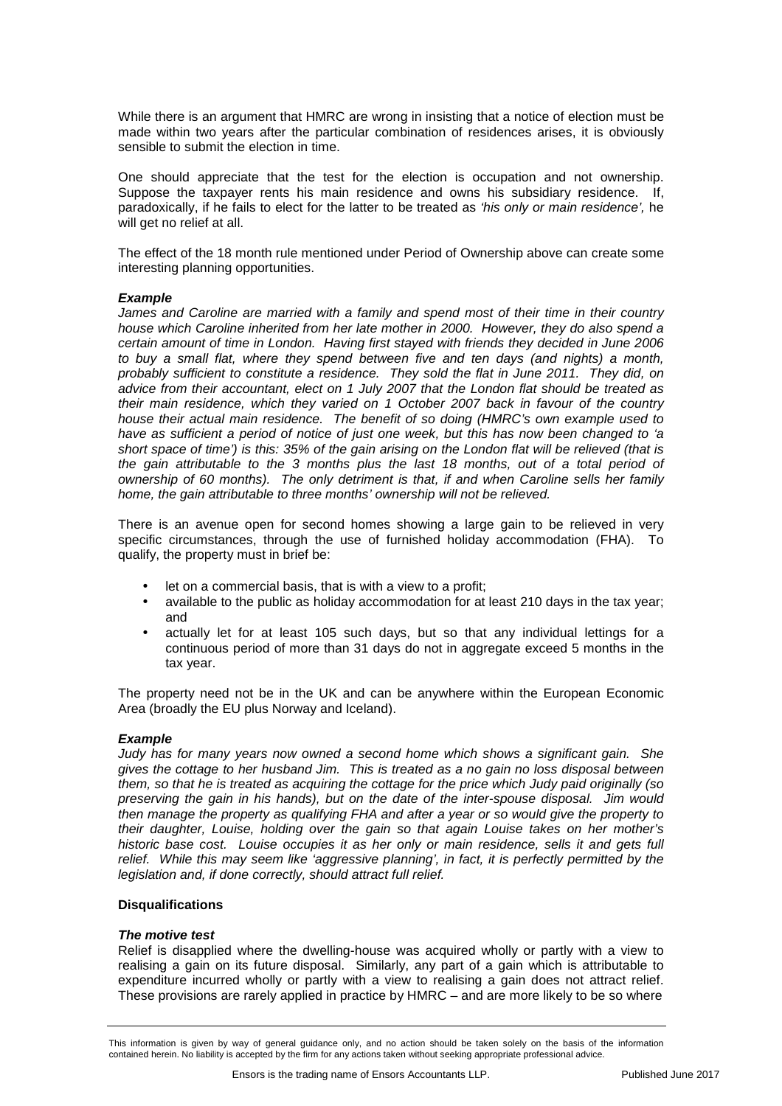While there is an argument that HMRC are wrong in insisting that a notice of election must be made within two years after the particular combination of residences arises, it is obviously sensible to submit the election in time.

One should appreciate that the test for the election is occupation and not ownership. Suppose the taxpayer rents his main residence and owns his subsidiary residence. If. paradoxically, if he fails to elect for the latter to be treated as 'his only or main residence', he will get no relief at all.

The effect of the 18 month rule mentioned under Period of Ownership above can create some interesting planning opportunities.

#### **Example**

James and Caroline are married with a family and spend most of their time in their country house which Caroline inherited from her late mother in 2000. However, they do also spend a certain amount of time in London. Having first stayed with friends they decided in June 2006 to buy a small flat, where they spend between five and ten days (and nights) a month, probably sufficient to constitute a residence. They sold the flat in June 2011. They did, on advice from their accountant, elect on 1 July 2007 that the London flat should be treated as their main residence, which they varied on 1 October 2007 back in favour of the country house their actual main residence. The benefit of so doing (HMRC's own example used to have as sufficient a period of notice of just one week, but this has now been changed to 'a short space of time') is this: 35% of the gain arising on the London flat will be relieved (that is the gain attributable to the 3 months plus the last 18 months, out of a total period of ownership of 60 months). The only detriment is that, if and when Caroline sells her family home, the gain attributable to three months' ownership will not be relieved.

There is an avenue open for second homes showing a large gain to be relieved in very specific circumstances, through the use of furnished holiday accommodation (FHA). To qualify, the property must in brief be:

- let on a commercial basis, that is with a view to a profit;
- available to the public as holiday accommodation for at least 210 days in the tax year; and
- actually let for at least 105 such days, but so that any individual lettings for a continuous period of more than 31 days do not in aggregate exceed 5 months in the tax year.

The property need not be in the UK and can be anywhere within the European Economic Area (broadly the EU plus Norway and Iceland).

#### **Example**

Judy has for many years now owned a second home which shows a significant gain. She gives the cottage to her husband Jim. This is treated as a no gain no loss disposal between them, so that he is treated as acquiring the cottage for the price which Judy paid originally (so preserving the gain in his hands), but on the date of the inter-spouse disposal. Jim would then manage the property as qualifying FHA and after a year or so would give the property to their daughter, Louise, holding over the gain so that again Louise takes on her mother's historic base cost. Louise occupies it as her only or main residence, sells it and gets full relief. While this may seem like 'aggressive planning', in fact, it is perfectly permitted by the legislation and, if done correctly, should attract full relief.

#### **Disqualifications**

#### **The motive test**

Relief is disapplied where the dwelling-house was acquired wholly or partly with a view to realising a gain on its future disposal. Similarly, any part of a gain which is attributable to expenditure incurred wholly or partly with a view to realising a gain does not attract relief. These provisions are rarely applied in practice by HMRC – and are more likely to be so where

This information is given by way of general guidance only, and no action should be taken solely on the basis of the information contained herein. No liability is accepted by the firm for any actions taken without seeking appropriate professional advice.